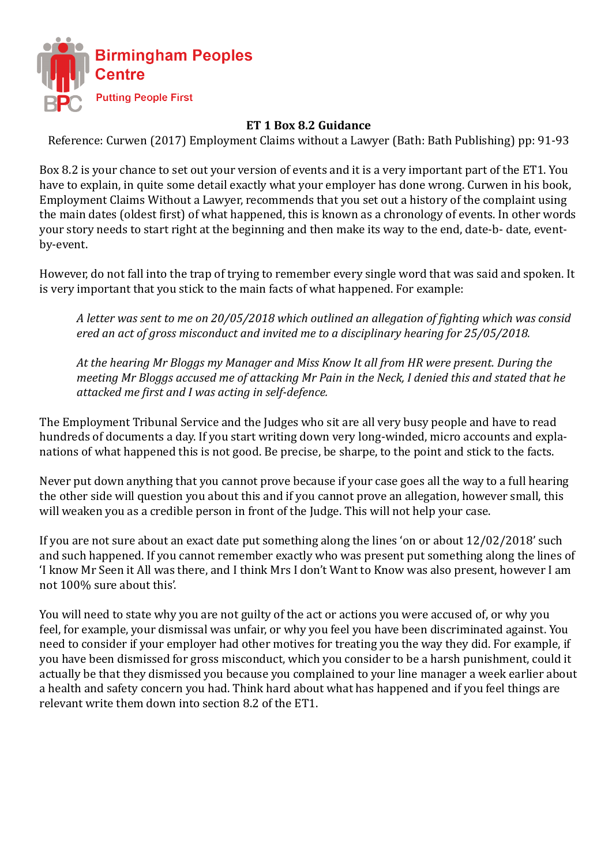

## **ET 1 Box 8.2 Guidance**

Reference: Curwen (2017) Employment Claims without a Lawyer (Bath: Bath Publishing) pp: 91-93

Box 8.2 is your chance to set out your version of events and it is a very important part of the ET1. You have to explain, in quite some detail exactly what your employer has done wrong. Curwen in his book, Employment Claims Without a Lawyer, recommends that you set out a history of the complaint using the main dates (oldest first) of what happened, this is known as a chronology of events. In other words your story needs to start right at the beginning and then make its way to the end, date-b- date, eventby-event.

However, do not fall into the trap of trying to remember every single word that was said and spoken. It is very important that you stick to the main facts of what happened. For example:

 *A letter was sent to me on 20/05/2018 which outlined an allegation of fighting which was consid ered an act of gross misconduct and invited me to a disciplinary hearing for 25/05/2018.* 

*At the hearing Mr Bloggs my Manager and Miss Know It all from HR were present. During the meeting Mr Bloggs accused me of attacking Mr Pain in the Neck, I denied this and stated that he attacked me first and I was acting in self-defence.*

The Employment Tribunal Service and the Judges who sit are all very busy people and have to read hundreds of documents a day. If you start writing down very long-winded, micro accounts and explanations of what happened this is not good. Be precise, be sharpe, to the point and stick to the facts.

Never put down anything that you cannot prove because if your case goes all the way to a full hearing the other side will question you about this and if you cannot prove an allegation, however small, this will weaken you as a credible person in front of the Judge. This will not help your case.

If you are not sure about an exact date put something along the lines 'on or about 12/02/2018' such and such happened. If you cannot remember exactly who was present put something along the lines of 'I know Mr Seen it All was there, and I think Mrs I don't Want to Know was also present, however I am not 100% sure about this'.

You will need to state why you are not guilty of the act or actions you were accused of, or why you feel, for example, your dismissal was unfair, or why you feel you have been discriminated against. You need to consider if your employer had other motives for treating you the way they did. For example, if you have been dismissed for gross misconduct, which you consider to be a harsh punishment, could it actually be that they dismissed you because you complained to your line manager a week earlier about a health and safety concern you had. Think hard about what has happened and if you feel things are relevant write them down into section 8.2 of the ET1.